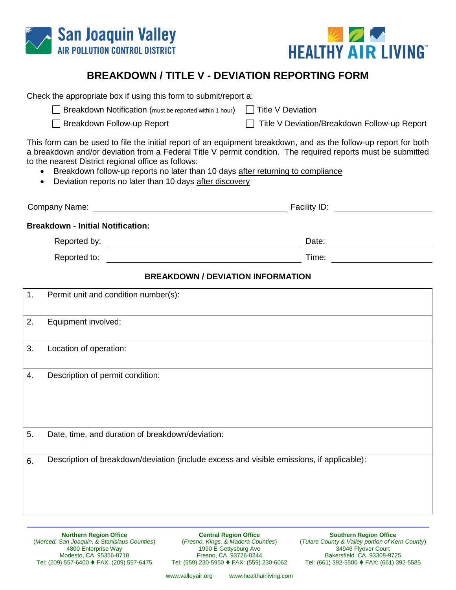



## **BREAKDOWN / TITLE V - DEVIATION REPORTING FORM**

| Check the appropriate box if using this form to submit/report a:<br>Breakdown Notification (must be reported within 1 hour)<br>□ Title V Deviation<br>Breakdown Follow-up Report<br>Title V Deviation/Breakdown Follow-up Report<br>This form can be used to file the initial report of an equipment breakdown, and as the follow-up report for both<br>a breakdown and/or deviation from a Federal Title V permit condition. The required reports must be submitted<br>to the nearest District regional office as follows:<br>Breakdown follow-up reports no later than 10 days after returning to compliance<br>Deviation reports no later than 10 days after discovery<br>$\bullet$ |  |  |
|----------------------------------------------------------------------------------------------------------------------------------------------------------------------------------------------------------------------------------------------------------------------------------------------------------------------------------------------------------------------------------------------------------------------------------------------------------------------------------------------------------------------------------------------------------------------------------------------------------------------------------------------------------------------------------------|--|--|
|                                                                                                                                                                                                                                                                                                                                                                                                                                                                                                                                                                                                                                                                                        |  |  |
| <b>Breakdown - Initial Notification:</b>                                                                                                                                                                                                                                                                                                                                                                                                                                                                                                                                                                                                                                               |  |  |
|                                                                                                                                                                                                                                                                                                                                                                                                                                                                                                                                                                                                                                                                                        |  |  |
| <u> 1980 - Johann Barnett, fransk politik (d. 1980)</u><br>Reported to:                                                                                                                                                                                                                                                                                                                                                                                                                                                                                                                                                                                                                |  |  |
| <b>BREAKDOWN / DEVIATION INFORMATION</b>                                                                                                                                                                                                                                                                                                                                                                                                                                                                                                                                                                                                                                               |  |  |
| Permit unit and condition number(s):<br>1.                                                                                                                                                                                                                                                                                                                                                                                                                                                                                                                                                                                                                                             |  |  |
| 2.<br>Equipment involved:                                                                                                                                                                                                                                                                                                                                                                                                                                                                                                                                                                                                                                                              |  |  |
| 3.<br>Location of operation:                                                                                                                                                                                                                                                                                                                                                                                                                                                                                                                                                                                                                                                           |  |  |
| Description of permit condition:<br>4.                                                                                                                                                                                                                                                                                                                                                                                                                                                                                                                                                                                                                                                 |  |  |
| Date, time, and duration of breakdown/deviation:<br>5.                                                                                                                                                                                                                                                                                                                                                                                                                                                                                                                                                                                                                                 |  |  |
| Description of breakdown/deviation (include excess and visible emissions, if applicable):<br>6.                                                                                                                                                                                                                                                                                                                                                                                                                                                                                                                                                                                        |  |  |

**Northern Region Office** (*Merced, San Joaquin, & Stanislaus Counties*) 4800 Enterprise Way Modesto, CA 95356-8718 Tel: (209) 557-6400 FAX: (209) 557-6475

**Central Region Office** (*Fresno, Kings, & Madera Counties*) 1990 E Gettysburg Ave Fresno, CA 93726-0244 Tel: (559) 230-5950 FAX: (559) 230-6062

**Southern Region Office** (*Tulare County & Valley portion of Kern County*) 34946 Flyover Court Bakersfield, CA 93308-9725 Tel: (661) 392-5500 FAX: (661) 392-5585